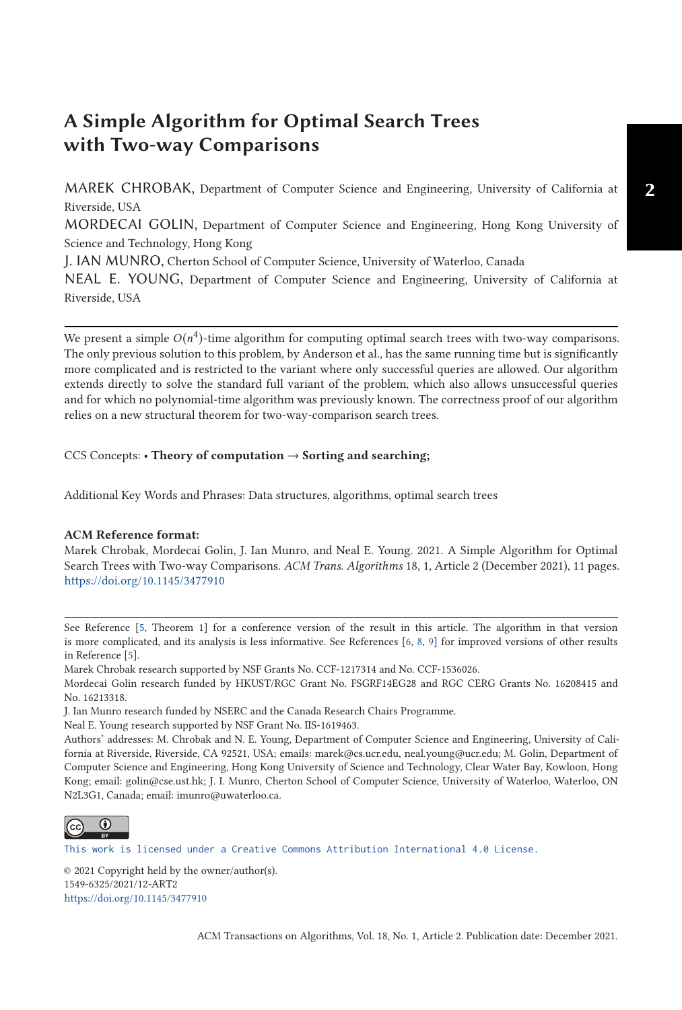# **A Simple Algorithm for Optimal Search Trees with Two-way Comparisons**

MAREK CHROBAK, Department of Computer Science and Engineering, University of California at Riverside, USA

MORDECAI GOLIN, Department of Computer Science and Engineering, Hong Kong University of Science and Technology, Hong Kong

J. IAN MUNRO, Cherton School of Computer Science, University of Waterloo, Canada

NEAL E. YOUNG, Department of Computer Science and Engineering, University of California at Riverside, USA

We present a simple  $O(n^4)$ -time algorithm for computing optimal search trees with two-way comparisons. The only previous solution to this problem, by Anderson et al., has the same running time but is significantly more complicated and is restricted to the variant where only successful queries are allowed. Our algorithm extends directly to solve the standard full variant of the problem, which also allows unsuccessful queries and for which no polynomial-time algorithm was previously known. The correctness proof of our algorithm relies on a new structural theorem for two-way-comparison search trees.

# CCS Concepts: • **Theory of computation** → **Sorting and searching;**

Additional Key Words and Phrases: Data structures, algorithms, optimal search trees

### **ACM Reference format:**

Marek Chrobak, Mordecai Golin, J. Ian Munro, and Neal E. Young. 2021. A Simple Algorithm for Optimal Search Trees with Two-way Comparisons. *ACM Trans. Algorithms* 18, 1, Article 2 (December 2021), 11 pages. <https://doi.org/10.1145/3477910>

See Reference [\[5,](#page-10-0) Theorem 1] for a conference version of the result in this article. The algorithm in that version is more complicated, and its analysis is less informative. See References [\[6,](#page-10-0) [8,](#page-10-0) [9\]](#page-10-0) for improved versions of other results in Reference [\[5\]](#page-10-0).

Marek Chrobak research supported by NSF Grants No. CCF-1217314 and No. CCF-1536026.

Mordecai Golin research funded by HKUST/RGC Grant No. FSGRF14EG28 and RGC CERG Grants No. 16208415 and No. 16213318.

J. Ian Munro research funded by NSERC and the Canada Research Chairs Programme.

Neal E. Young research supported by NSF Grant No. IIS-1619463.

Authors' addresses: M. Chrobak and N. E. Young, Department of Computer Science and Engineering, University of California at Riverside, Riverside, CA 92521, USA; emails: marek@cs.ucr.edu, neal.young@ucr.edu; M. Golin, Department of Computer Science and Engineering, Hong Kong University of Science and Technology, Clear Water Bay, Kowloon, Hong Kong; email: golin@cse.ust.hk; J. I. Munro, Cherton School of Computer Science, University of Waterloo, Waterloo, ON N2L3G1, Canada; email: imunro@uwaterloo.ca.



[This work is licensed under a Creative Commons Attribution International 4.0 License.](https://creativecommons.org/licenses/by/4.0/)

© 2021 Copyright held by the owner/author(s). 1549-6325/2021/12-ART2 <https://doi.org/10.1145/3477910>

ACM Transactions on Algorithms, Vol. 18, No. 1, Article 2. Publication date: December 2021.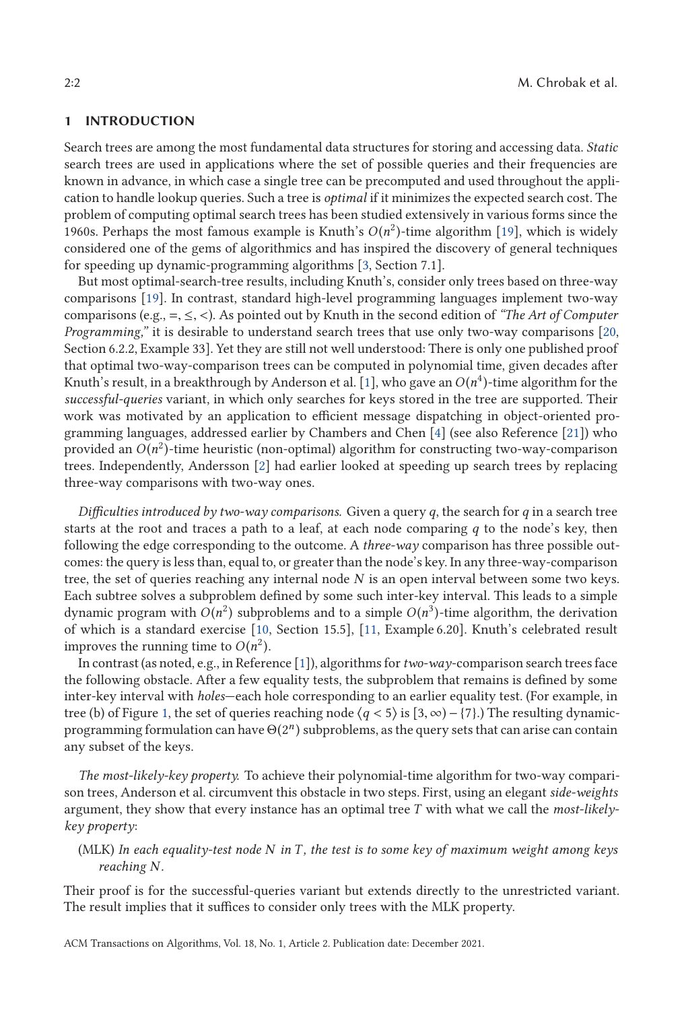# **1 INTRODUCTION**

Search trees are among the most fundamental data structures for storing and accessing data. *Static* search trees are used in applications where the set of possible queries and their frequencies are known in advance, in which case a single tree can be precomputed and used throughout the application to handle lookup queries. Such a tree is *optimal* if it minimizes the expected search cost. The problem of computing optimal search trees has been studied extensively in various forms since the 1960s. Perhaps the most famous example is Knuth's  $O(n^2)$ -time algorithm [\[19\]](#page-10-0), which is widely considered one of the gems of algorithmics and has inspired the discovery of general techniques for speeding up dynamic-programming algorithms [\[3,](#page-10-0) Section 7.1].

But most optimal-search-tree results, including Knuth's, consider only trees based on three-way comparisons [\[19\]](#page-10-0). In contrast, standard high-level programming languages implement two-way comparisons (e.g.,  $=$ ,  $\leq$ ,  $\lt$ ). As pointed out by Knuth in the second edition of *"The Art of Computer*" *Programming,*" it is desirable to understand search trees that use only two-way comparisons [\[20,](#page-10-0) Section 6.2.2, Example 33]. Yet they are still not well understood: There is only one published proof that optimal two-way-comparison trees can be computed in polynomial time, given decades after Knuth's result, in a breakthrough by Anderson et al. [\[1\]](#page-10-0), who gave an  $O(n^4)$ -time algorithm for the *successful-queries* variant, in which only searches for keys stored in the tree are supported. Their work was motivated by an application to efficient message dispatching in object-oriented programming languages, addressed earlier by Chambers and Chen [\[4\]](#page-10-0) (see also Reference [\[21\]](#page-10-0)) who provided an  $O(n^2)$ -time heuristic (non-optimal) algorithm for constructing two-way-comparison trees. Independently, Andersson [\[2\]](#page-10-0) had earlier looked at speeding up search trees by replacing three-way comparisons with two-way ones.

*Difficulties introduced by two-way comparisons.* Given a query *q*, the search for *q* in a search tree starts at the root and traces a path to a leaf, at each node comparing *q* to the node's key, then following the edge corresponding to the outcome. A *three-way* comparison has three possible outcomes: the query is less than, equal to, or greater than the node's key. In any three-way-comparison tree, the set of queries reaching any internal node *N* is an open interval between some two keys. Each subtree solves a subproblem defined by some such inter-key interval. This leads to a simple dynamic program with  $O(n^2)$  subproblems and to a simple  $O(n^3)$ -time algorithm, the derivation of which is a standard exercise [\[10,](#page-10-0) Section 15.5], [\[11,](#page-10-0) Example 6.20]. Knuth's celebrated result improves the running time to  $O(n^2)$ .

In contrast (as noted, e.g., in Reference [\[1\]](#page-10-0)), algorithms for*two-way*-comparison search trees face the following obstacle. After a few equality tests, the subproblem that remains is defined by some inter-key interval with *holes*—each hole corresponding to an earlier equality test. (For example, in tree (b) of Figure [1,](#page-2-0) the set of queries reaching node  $\langle q < 5 \rangle$  is  $[3, \infty) - \{7\}$ .) The resulting dynamic-<br>programming formulation can have  $\Theta(2^n)$  subproblems, as the query sets that can arise can contain programming formulation can have Θ(2*<sup>n</sup>* ) subproblems, as the query sets that can arise can contain any subset of the keys.

*The most-likely-key property.* To achieve their polynomial-time algorithm for two-way comparison trees, Anderson et al. circumvent this obstacle in two steps. First, using an elegant *side-weights* argument, they show that every instance has an optimal tree *T* with what we call the *most-likelykey property*:

(MLK) *In each equality-test node N in T , the test is to some key of maximum weight among keys reaching N.*

Their proof is for the successful-queries variant but extends directly to the unrestricted variant. The result implies that it suffices to consider only trees with the MLK property.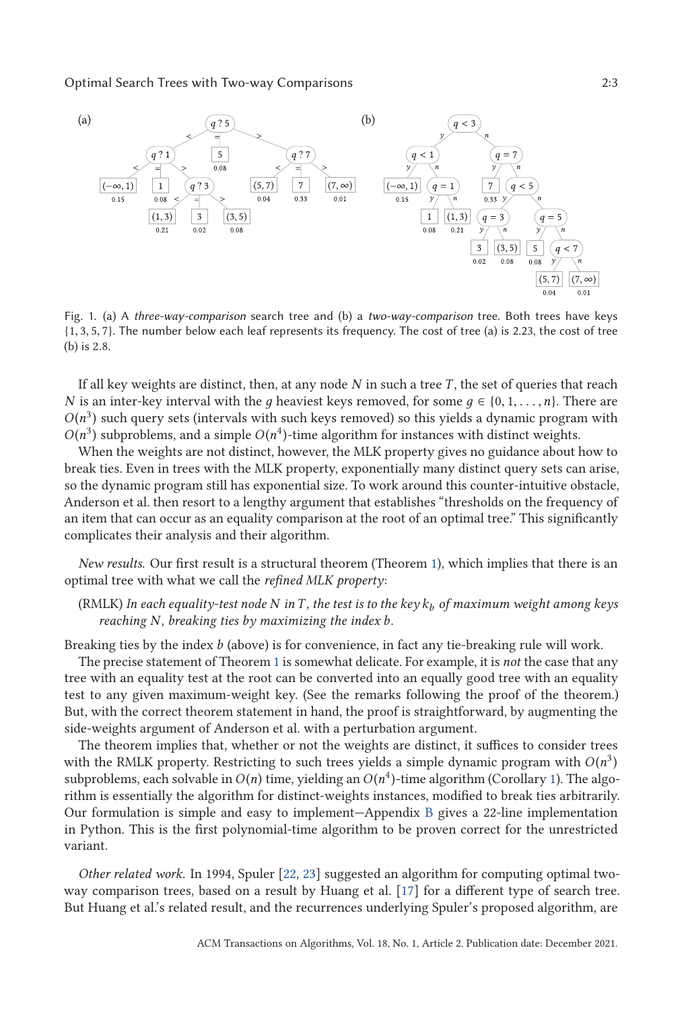# <span id="page-2-0"></span>Optimal Search Trees with Two-way Comparisons 2:3



Fig. 1. (a) A *three-way-comparison* search tree and (b) a *two-way-comparison* tree. Both trees have keys {1, <sup>3</sup>, <sup>5</sup>, <sup>7</sup>}. The number below each leaf represents its frequency. The cost of tree (a) is 2.23, the cost of tree (b) is <sup>2</sup>.8.

If all key weights are distinct, then, at any node *N* in such a tree *T* , the set of queries that reach *N* is an inter-key interval with the *g* heaviest keys removed, for some  $g \in \{0, 1, \ldots, n\}$ . There are  $O(n^3)$  such query sets (intervals with such keys removed) so this yields a dynamic program with  $O(n^3)$  subproblems, and a simple  $O(n^4)$ -time algorithm for instances with distinct weights.

When the weights are not distinct, however, the MLK property gives no guidance about how to break ties. Even in trees with the MLK property, exponentially many distinct query sets can arise, so the dynamic program still has exponential size. To work around this counter-intuitive obstacle, Anderson et al. then resort to a lengthy argument that establishes "thresholds on the frequency of an item that can occur as an equality comparison at the root of an optimal tree." This significantly complicates their analysis and their algorithm.

*New results.* Our first result is a structural theorem (Theorem [1\)](#page-5-0), which implies that there is an optimal tree with what we call the *refined MLK property*:

# (RMLK) *In each equality-test node N inT , the test is to the key k<sup>b</sup> of maximum weight among keys reaching N, breaking ties by maximizing the index b.*

Breaking ties by the index *b* (above) is for convenience, in fact any tie-breaking rule will work.

The precise statement of Theorem [1](#page-5-0) is somewhat delicate. For example, it is *not* the case that any tree with an equality test at the root can be converted into an equally good tree with an equality test to any given maximum-weight key. (See the remarks following the proof of the theorem.) But, with the correct theorem statement in hand, the proof is straightforward, by augmenting the side-weights argument of Anderson et al. with a perturbation argument.

The theorem implies that, whether or not the weights are distinct, it suffices to consider trees with the RMLK property. Restricting to such trees yields a simple dynamic program with  $O(n^3)$ subproblems, each solvable in  $O(n)$  time, yielding an  $O(n^4)$ -time algorithm (Corollary [1\)](#page-5-0). The algorithm is essentially the algorithm for distinct-weights instances, modified to break ties arbitrarily. Our formulation is simple and easy to implement—Appendix [B](#page-9-0) gives a 22-line implementation in Python. This is the first polynomial-time algorithm to be proven correct for the unrestricted variant.

*Other related work.* In 1994, Spuler [\[22,](#page-10-0) [23\]](#page-10-0) suggested an algorithm for computing optimal twoway comparison trees, based on a result by Huang et al. [\[17\]](#page-10-0) for a different type of search tree. But Huang et al.'s related result, and the recurrences underlying Spuler's proposed algorithm, are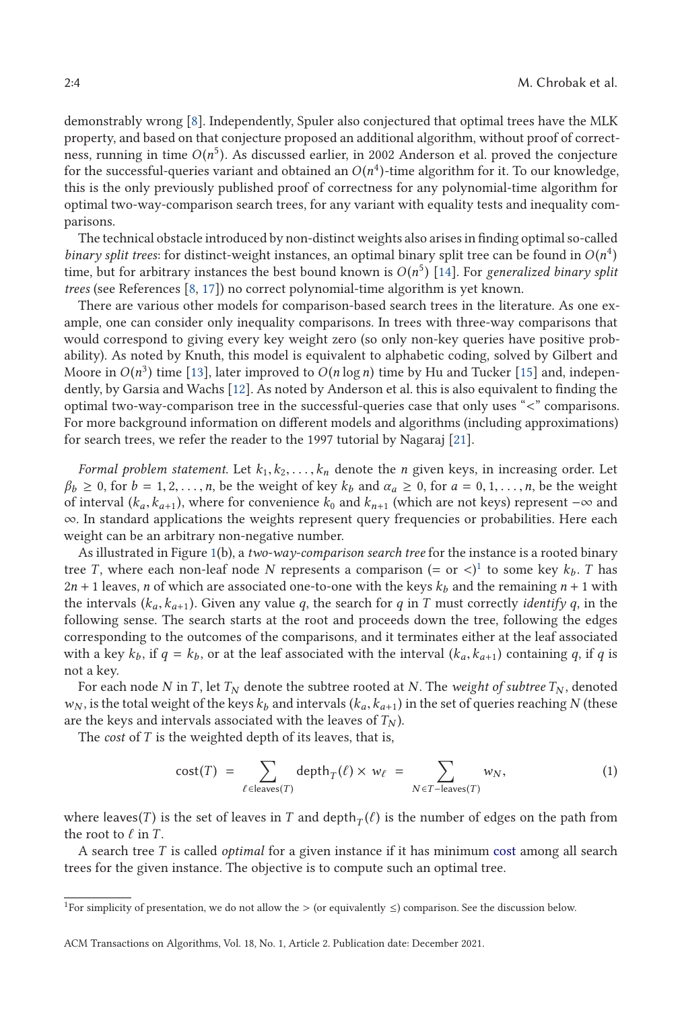<span id="page-3-0"></span>demonstrably wrong [\[8\]](#page-10-0). Independently, Spuler also conjectured that optimal trees have the MLK property, and based on that conjecture proposed an additional algorithm, without proof of correctness, running in time  $O(n^5)$ . As discussed earlier, in 2002 Anderson et al. proved the conjecture for the successful-queries variant and obtained an  $O(n^4)$ -time algorithm for it. To our knowledge, this is the only previously published proof of correctness for any polynomial-time algorithm for optimal two-way-comparison search trees, for any variant with equality tests and inequality comparisons.

The technical obstacle introduced by non-distinct weights also arises in finding optimal so-called *binary split trees:* for distinct-weight instances, an optimal binary split tree can be found in  $O(n^4)$ time, but for arbitrary instances the best bound known is  $O(n^5)$  [\[14\]](#page-10-0). For *generalized binary split trees* (see References [\[8,](#page-10-0) [17\]](#page-10-0)) no correct polynomial-time algorithm is yet known.

There are various other models for comparison-based search trees in the literature. As one example, one can consider only inequality comparisons. In trees with three-way comparisons that would correspond to giving every key weight zero (so only non-key queries have positive probability). As noted by Knuth, this model is equivalent to alphabetic coding, solved by Gilbert and Moore in  $O(n^3)$  time [\[13\]](#page-10-0), later improved to  $O(n \log n)$  time by Hu and Tucker [\[15\]](#page-10-0) and, independently, by Garsia and Wachs [\[12\]](#page-10-0). As noted by Anderson et al. this is also equivalent to finding the optimal two-way-comparison tree in the successful-queries case that only uses "<" comparisons. For more background information on different models and algorithms (including approximations) for search trees, we refer the reader to the 1997 tutorial by Nagaraj [\[21\]](#page-10-0).

*Formal problem statement.* Let  $k_1, k_2, \ldots, k_n$  denote the *n* given keys, in increasing order. Let  $\beta_b \geq 0$ , for  $b = 1, 2, \ldots, n$ , be the weight of key  $k_b$  and  $\alpha_a \geq 0$ , for  $a = 0, 1, \ldots, n$ , be the weight of interval  $(k_a, k_{a+1})$ , where for convenience  $k_0$  and  $k_{n+1}$  (which are not keys) represent  $-\infty$  and ∞. In standard applications the weights represent query frequencies or probabilities. Here each weight can be an arbitrary non-negative number.

As illustrated in Figure [1\(](#page-2-0)b), a *two-way-comparison search tree* for the instance is a rooted binary tree *T*, where each non-leaf node *N* represents a comparison  $(=$  or  $\lt)$ <sup>1</sup> to some key  $k_b$ . *T* has  $2n + 1$  leaves, *n* of which are associated one-to-one with the keys  $k_b$  and the remaining  $n + 1$  with the intervals  $(k_a, k_{a+1})$ . Given any value *q*, the search for *q* in *T* must correctly *identify q*, in the following sense. The search starts at the root and proceeds down the tree, following the edges corresponding to the outcomes of the comparisons, and it terminates either at the leaf associated with a key  $k_b$ , if  $q = k_b$ , or at the leaf associated with the interval  $(k_a, k_{a+1})$  containing q, if q is not a key.

For each node *N* in *T*, let  $T_N$  denote the subtree rooted at *N*. The *weight of subtree*  $T_N$ , denoted  $w_N$ , is the total weight of the keys  $k_b$  and intervals  $(k_a, k_{a+1})$  in the set of queries reaching *N* (these are the keys and intervals associated with the leaves of  $T_N$ ).

The *cost* of *T* is the weighted depth of its leaves, that is,

$$
cost(T) = \sum_{\ell \in leaves(T)} depth_T(\ell) \times w_{\ell} = \sum_{N \in T- leaves(T)} w_N,
$$
 (1)

where leaves(*T*) is the set of leaves in *T* and depth<sub>*T*</sub>( $\ell$ ) is the number of edges on the path from the root to  $\ell$  in *T* the root to  $\ell$  in *T*.<br>A search tree 7

A search tree *T* is called *optimal* for a given instance if it has minimum cost among all search trees for the given instance. The objective is to compute such an optimal tree.

<sup>&</sup>lt;sup>1</sup>For simplicity of presentation, we do not allow the > (or equivalently  $\leq$ ) comparison. See the discussion below.

ACM Transactions on Algorithms, Vol. 18, No. 1, Article 2. Publication date: December 2021.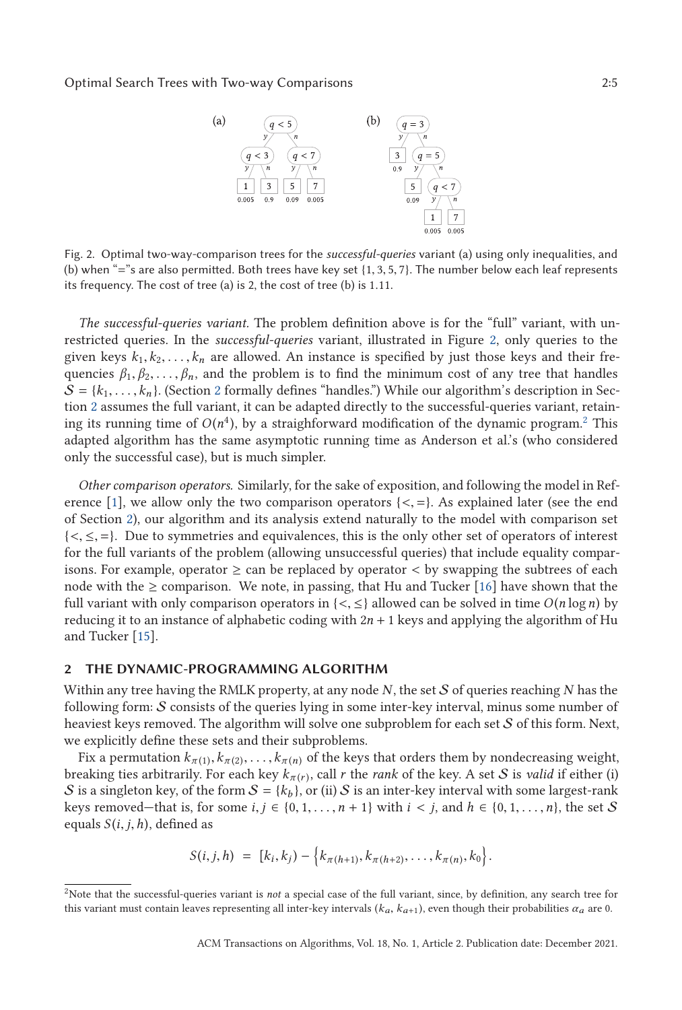

Fig. 2. Optimal two-way-comparison trees for the *successful-queries* variant (a) using only inequalities, and (b) when "="s are also permitted. Both trees have key set {1, <sup>3</sup>, <sup>5</sup>, <sup>7</sup>}. The number below each leaf represents its frequency. The cost of tree (a) is 2, the cost of tree (b) is <sup>1</sup>.11.

*The successful-queries variant.* The problem definition above is for the "full" variant, with unrestricted queries. In the *successful-queries* variant, illustrated in Figure 2, only queries to the given keys  $k_1, k_2, \ldots, k_n$  are allowed. An instance is specified by just those keys and their frequencies  $\beta_1, \beta_2, \ldots, \beta_n$ , and the problem is to find the minimum cost of any tree that handles  $S = \{k_1, \ldots, k_n\}$ . (Section 2 formally defines "handles.") While our algorithm's description in Section 2 assumes the full variant, it can be adapted directly to the successful-queries variant, retaining its running time of  $O(n^4)$ , by a straighforward modification of the dynamic program.<sup>2</sup> This adapted algorithm has the same asymptotic running time as Anderson et al.'s (who considered only the successful case), but is much simpler.

*Other comparison operators.* Similarly, for the sake of exposition, and following the model in Ref-erence [\[1\]](#page-10-0), we allow only the two comparison operators  $\{<,=\}$ . As explained later (see the end of Section 2), our algorithm and its analysis extend naturally to the model with comparison set  $\{<,\leq,=\}$ . Due to symmetries and equivalences, this is the only other set of operators of interest for the full variants of the problem (allowing unsuccessful queries) that include equality comparisons. For example, operator  $\geq$  can be replaced by operator  $\lt$  by swapping the subtrees of each node with the  $\geq$  comparison. We note, in passing, that Hu and Tucker [\[16\]](#page-10-0) have shown that the full variant with only comparison operators in  $\{<,\leq\}$  allowed can be solved in time  $O(n \log n)$  by reducing it to an instance of alphabetic coding with  $2n + 1$  keys and applying the algorithm of Hu and Tucker [\[15\]](#page-10-0).

# **2 THE DYNAMIC-PROGRAMMING ALGORITHM**

Within any tree having the RMLK property, at any node *N*, the set S of queries reaching *N* has the following form: S consists of the queries lying in some inter-key interval, minus some number of heaviest keys removed. The algorithm will solve one subproblem for each set S of this form. Next, we explicitly define these sets and their subproblems.

Fix a permutation  $k_{\pi(1)}, k_{\pi(2)}, \ldots, k_{\pi(n)}$  of the keys that orders them by nondecreasing weight, breaking ties arbitrarily. For each key  $k_{\pi(r)}$ , call *r* the *rank* of the key. A set *S* is *valid* if either (i) S is a singleton key, of the form  $S = \{k_b\}$ , or (ii) S is an inter-key interval with some largest-rank keys removed—that is, for some  $i, j \in \{0, 1, \ldots, n+1\}$  with  $i < j$ , and  $h \in \{0, 1, \ldots, n\}$ , the set S equals  $S(i, j, h)$ , defined as

$$
S(i,j,h) = [k_i,k_j) - \{k_{\pi(h+1)}, k_{\pi(h+2)}, \ldots, k_{\pi(n)}, k_0\}.
$$

<sup>2</sup>Note that the successful-queries variant is *not* a special case of the full variant, since, by definition, any search tree for this variant must contain leaves representing all inter-key intervals  $(k_a, k_{a+1})$ , even though their probabilities  $\alpha_a$  are 0.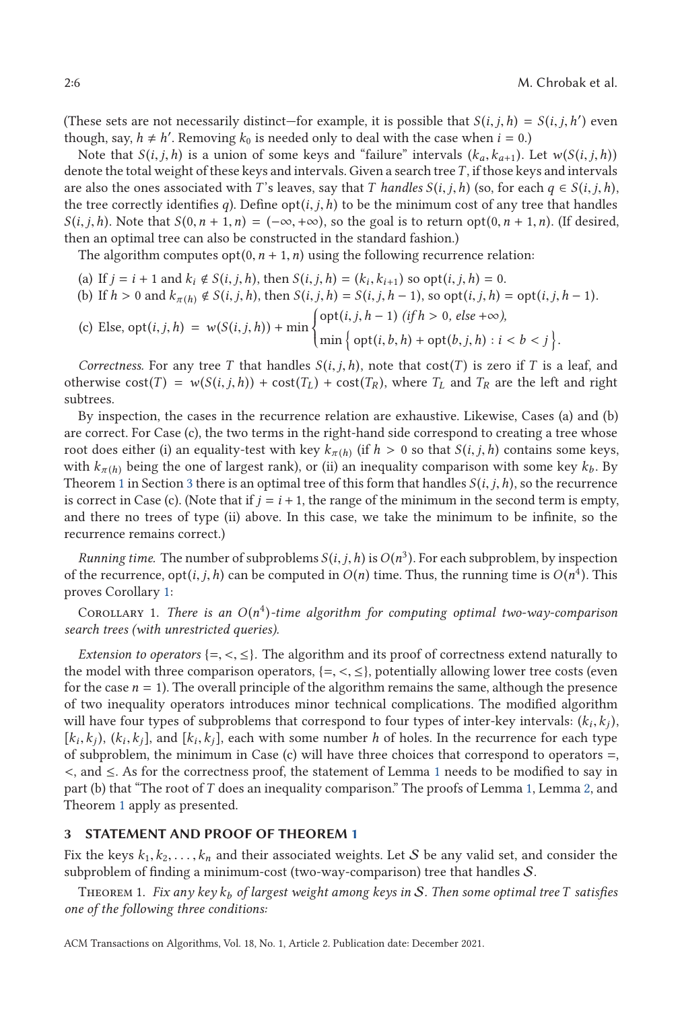(These sets are not necessarily distinct—for example, it is possible that  $S(i, j, h) = S(i, j, h')$  even<br>though say  $h \neq h'$ . Removing  $k_2$  is needed only to deal with the case when  $i = 0$ ) though, say,  $h \neq h'$ . Removing  $k_0$  is needed only to deal with the case when  $i = 0$ .)

Note that  $S(i, j, h)$  is a union of some keys and "failure" intervals  $(k_a, k_{a+1})$ . Let  $w(S(i, j, h))$ denote the total weight of these keys and intervals. Given a search tree*T* , if those keys and intervals are also the ones associated with *T*'s leaves, say that *T* handles  $S(i, j, h)$  (so, for each  $q \in S(i, j, h)$ , the tree correctly identifies *q*). Define opt(*i*, *j*,*h*) to be the minimum cost of any tree that handles  $S(i, j, h)$ . Note that  $S(0, n + 1, n) = (-\infty, +\infty)$ , so the goal is to return opt $(0, n + 1, n)$ . (If desired, then an optimal tree can also be constructed in the standard fashion.)

The algorithm computes  $opt(0, n + 1, n)$  using the following recurrence relation:

(a) If  $j = i + 1$  and  $k_i \notin S(i, j, h)$ , then  $S(i, j, h) = (k_i, k_{i+1})$  so  $opt(i, j, h) = 0$ . (b) If  $h > 0$  and  $k_{\pi(h)} \notin S(i, j, h)$ , then  $S(i, j, h) = S(i, j, h - 1)$ , so  $opt(i, j, h) = opt(i, j, h - 1)$ . (c) Else,  $opt(i, j, h) = w(S(i, j, h)) + min$ opt(*i*, *<sup>j</sup>*,*<sup>h</sup>* <sup>−</sup> <sup>1</sup>) *(if <sup>h</sup>* > <sup>0</sup>*, else* <sup>+</sup>∞*),*  $\min \{ \text{opt}(i, b, h) + \text{opt}(b, j, h) : i < b < j \}$ 

*Correctness.* For any tree *T* that handles  $S(i, j, h)$ , note that cost(*T*) is zero if *T* is a leaf, and otherwise  $cost(T) = w(S(i, j, h)) + cost(T<sub>L</sub>) + cost(T<sub>R</sub>)$ , where  $T<sub>L</sub>$  and  $T<sub>R</sub>$  are the left and right subtrees.

By inspection, the cases in the recurrence relation are exhaustive. Likewise, Cases (a) and (b) are correct. For Case (c), the two terms in the right-hand side correspond to creating a tree whose root does either (i) an equality-test with key  $k_{\pi(h)}$  (if  $h > 0$  so that  $S(i, j, h)$  contains some keys, with  $k_{\pi(h)}$  being the one of largest rank), or (ii) an inequality comparison with some key  $k_b$ . By Theorem 1 in Section 3 there is an optimal tree of this form that handles  $S(i, j, h)$ , so the recurrence is correct in Case (c). (Note that if  $j = i + 1$ , the range of the minimum in the second term is empty, and there no trees of type (ii) above. In this case, we take the minimum to be infinite, so the recurrence remains correct.)

*Running time.* The number of subproblems  $S(i, j, h)$  is  $O(n^3)$ . For each subproblem, by inspection of the recurrence,  $\text{opt}(i, j, h)$  can be computed in  $O(n)$  time. Thus, the running time is  $O(n^4)$ . This proves Corollary 1:

COROLLARY 1. *There is an*  $O(n^4)$ -time algorithm for computing optimal two-way-comparison *search trees (with unrestricted queries).*

*Extension to operators* {=, <, ≤}. The algorithm and its proof of correctness extend naturally to the model with three comparison operators,  $\{ =, <, \leq \}$ , potentially allowing lower tree costs (even for the case  $n = 1$ ). The overall principle of the algorithm remains the same, although the presence of two inequality operators introduces minor technical complications. The modified algorithm will have four types of subproblems that correspond to four types of inter-key intervals:  $(k_i, k_j)$ ,  $[k_i, k_j)$ ,  $(k_i, k_j]$ , and  $[k_i, k_j]$ , each with some number *h* of holes. In the recurrence for each type of subproblem, the minimum in Case (c) will have three choices that correspond to operators  $=$ , <, and <sup>≤</sup>. As for the correctness proof, the statement of Lemma [1](#page-6-0) needs to be modified to say in part (b) that "The root of *T* does an inequality comparison." The proofs of Lemma [1,](#page-6-0) Lemma [2,](#page-8-0) and Theorem 1 apply as presented.

### **3 STATEMENT AND PROOF OF THEOREM 1**

Fix the keys  $k_1, k_2, \ldots, k_n$  and their associated weights. Let S be any valid set, and consider the subproblem of finding a minimum-cost (two-way-comparison) tree that handles S.

Theorem 1. *Fix any key k<sup>b</sup> of largest weight among keys in* S*. Then some optimal tree T satisfies one of the following three conditions:*

ACM Transactions on Algorithms, Vol. 18, No. 1, Article 2. Publication date: December 2021.

<span id="page-5-0"></span>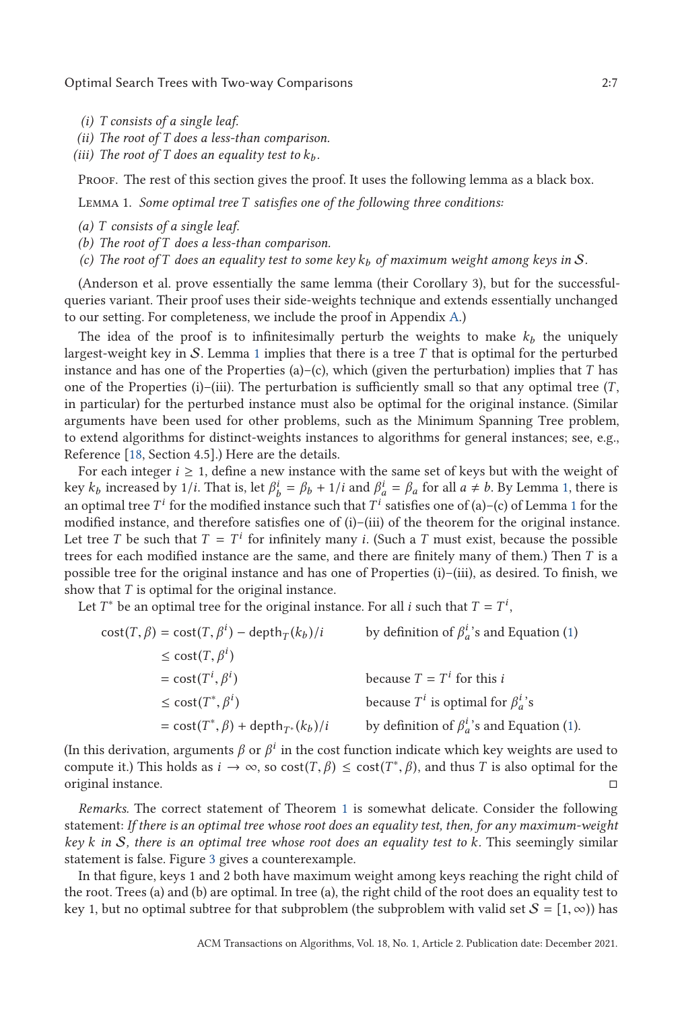<span id="page-6-0"></span>Optimal Search Trees with Two-way Comparisons 2:7

- *(i) T consists of a single leaf.*
- *(ii) The root of T does a less-than comparison.*
- *(iii)* The root of T does an equality test to  $k_b$ .

Proof. The rest of this section gives the proof. It uses the following lemma as a black box.

Lemma 1. *Some optimal tree T satisfies one of the following three conditions:*

- *(a) T consists of a single leaf.*
- *(b) The root of T does a less-than comparison.*
- *(c) The root of T does an equality test to some key k<sup>b</sup> of maximum weight among keys in* S*.*

(Anderson et al. prove essentially the same lemma (their Corollary 3), but for the successfulqueries variant. Their proof uses their side-weights technique and extends essentially unchanged to our setting. For completeness, we include the proof in Appendix [A.](#page-7-0))

The idea of the proof is to infinitesimally perturb the weights to make  $k_b$  the uniquely largest-weight key in S. Lemma 1 implies that there is a tree *T* that is optimal for the perturbed instance and has one of the Properties (a)–(c), which (given the perturbation) implies that *T* has one of the Properties (i)–(iii). The perturbation is sufficiently small so that any optimal tree (*T* , in particular) for the perturbed instance must also be optimal for the original instance. (Similar arguments have been used for other problems, such as the Minimum Spanning Tree problem, to extend algorithms for distinct-weights instances to algorithms for general instances; see, e.g., Reference [\[18,](#page-10-0) Section 4.5].) Here are the details.

For each integer  $i \geq 1$ , define a new instance with the same set of keys but with the weight of key  $k_b$  increased by 1/*i*. That is, let  $\beta_b^i = \beta_b + 1/i$  and  $\beta_a^i = \beta_a$  for all  $a \neq b$ . By Lemma 1, there is an optimal tree  $T^i$  for the modified instance such that  $T^i$  satisfies one of (a)–(c) of Lemma 1 for the modified instance, and therefore satisfies one of  $(i)$ – $(i)$ ii) of the theorem for the original instance. Let tree *T* be such that  $T = T^i$  for infinitely many *i*. (Such a *T* must exist, because the possible trees for each modified instance are the same, and there are finitely many of them.) Then *T* is a possible tree for the original instance and has one of Properties (i)–(iii), as desired. To finish, we show that *T* is optimal for the original instance.

Let *T*<sup>\*</sup> be an optimal tree for the original instance. For all *i* such that  $T = T^i$ ,

$$
\begin{aligned}\n\text{cost}(T, \beta) &= \text{cost}(T, \beta^i) - \text{depth}_T(k_b)/i & \text{by definition of } \beta_a^i \text{'s and Equation (1)} \\
&\le \text{cost}(T, \beta^i) \\
&= \text{cost}(T^i, \beta^i) & \text{because } T = T^i \text{ for this } i \\
&\le \text{cost}(T^*, \beta^i) & \text{because } T^i \text{ is optimal for } \beta_a^i \text{'s} \\
&= \text{cost}(T^*, \beta) + \text{depth}_{T^*}(k_b)/i & \text{by definition of } \beta_a^i \text{'s and Equation (1)}.\n\end{aligned}
$$

(In this derivation, arguments  $\beta$  or  $\beta^i$  in the cost function indicate which key weights are used to compute it.) This holds as  $i \to \infty$ , so  $cost(T, \beta) \leq cost(T^*, \beta)$ , and thus *T* is also optimal for the original instance.  $\Box$ 

*Remarks.* The correct statement of Theorem [1](#page-5-0) is somewhat delicate. Consider the following statement: *If there is an optimal tree whose root does an equality test, then, for any maximum-weight key k in* S*, there is an optimal tree whose root does an equality test to k.* This seemingly similar statement is false. Figure [3](#page-7-0) gives a counterexample.

In that figure, keys 1 and 2 both have maximum weight among keys reaching the right child of the root. Trees (a) and (b) are optimal. In tree (a), the right child of the root does an equality test to key 1, but no optimal subtree for that subproblem (the subproblem with valid set  $S = [1, \infty)$ ) has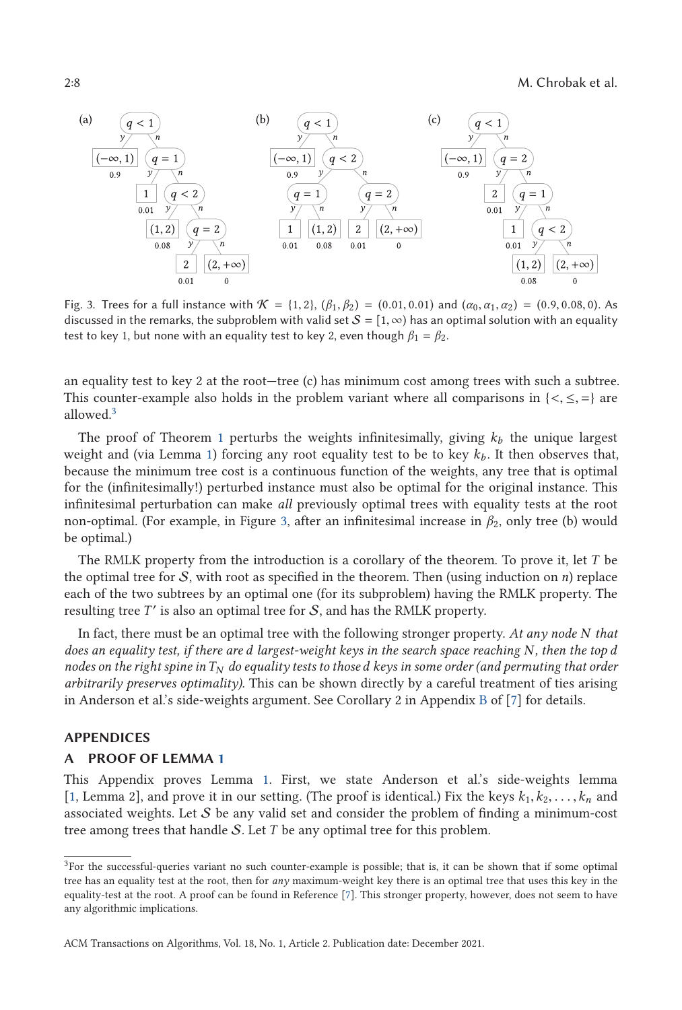<span id="page-7-0"></span>2:8 M. Chrobak et al.



Fig. 3. Trees for a full instance with <sup>K</sup> <sup>=</sup> {1, <sup>2</sup>}, (*β*1, *<sup>β</sup>*2) <sup>=</sup> (0.01, <sup>0</sup>.01) and (*α*0, *<sup>α</sup>*1, *<sup>α</sup>*2) <sup>=</sup> (0.9, <sup>0</sup>.08, <sup>0</sup>). As discussed in the remarks, the subproblem with valid set  $S = [1, \infty)$  has an optimal solution with an equality test to key 1, but none with an equality test to key 2, even though  $\beta_1 = \beta_2$ .

an equality test to key 2 at the root—tree (c) has minimum cost among trees with such a subtree. This counter-example also holds in the problem variant where all comparisons in  $\{<,\leq,=\}$  are allowed.<sup>3</sup>

The proof of Theorem [1](#page-5-0) perturbs the weights infinitesimally, giving  $k_b$  the unique largest weight and (via Lemma [1\)](#page-6-0) forcing any root equality test to be to key  $k_b$ . It then observes that, because the minimum tree cost is a continuous function of the weights, any tree that is optimal for the (infinitesimally!) perturbed instance must also be optimal for the original instance. This infinitesimal perturbation can make *all* previously optimal trees with equality tests at the root non-optimal. (For example, in Figure 3, after an infinitesimal increase in *β*2, only tree (b) would be optimal.)

The RMLK property from the introduction is a corollary of the theorem. To prove it, let *T* be the optimal tree for S, with root as specified in the theorem. Then (using induction on *n*) replace each of the two subtrees by an optimal one (for its subproblem) having the RMLK property. The resulting tree  $T'$  is also an optimal tree for  $S$ , and has the RMLK property.

In fact, there must be an optimal tree with the following stronger property. *At any node N that does an equality test, if there are d largest-weight keys in the search space reaching N, then the top d nodes on the right spine inT<sup>N</sup> do equality tests to those d keys in some order (and permuting that order arbitrarily preserves optimality).* This can be shown directly by a careful treatment of ties arising in Anderson et al.'s side-weights argument. See Corollary 2 in Appendix [B](#page-9-0) of [\[7\]](#page-10-0) for details.

# **APPENDICES**

# **A PROOF OF LEMMA [1](#page-6-0)**

This Appendix proves Lemma [1.](#page-6-0) First, we state Anderson et al.'s side-weights lemma [\[1,](#page-10-0) Lemma 2], and prove it in our setting. (The proof is identical.) Fix the keys  $k_1, k_2, \ldots, k_n$  and associated weights. Let  $S$  be any valid set and consider the problem of finding a minimum-cost tree among trees that handle S. Let *T* be any optimal tree for this problem.

<sup>&</sup>lt;sup>3</sup>For the successful-queries variant no such counter-example is possible; that is, it can be shown that if some optimal tree has an equality test at the root, then for *any* maximum-weight key there is an optimal tree that uses this key in the equality-test at the root. A proof can be found in Reference [\[7\]](#page-10-0). This stronger property, however, does not seem to have any algorithmic implications.

ACM Transactions on Algorithms, Vol. 18, No. 1, Article 2. Publication date: December 2021.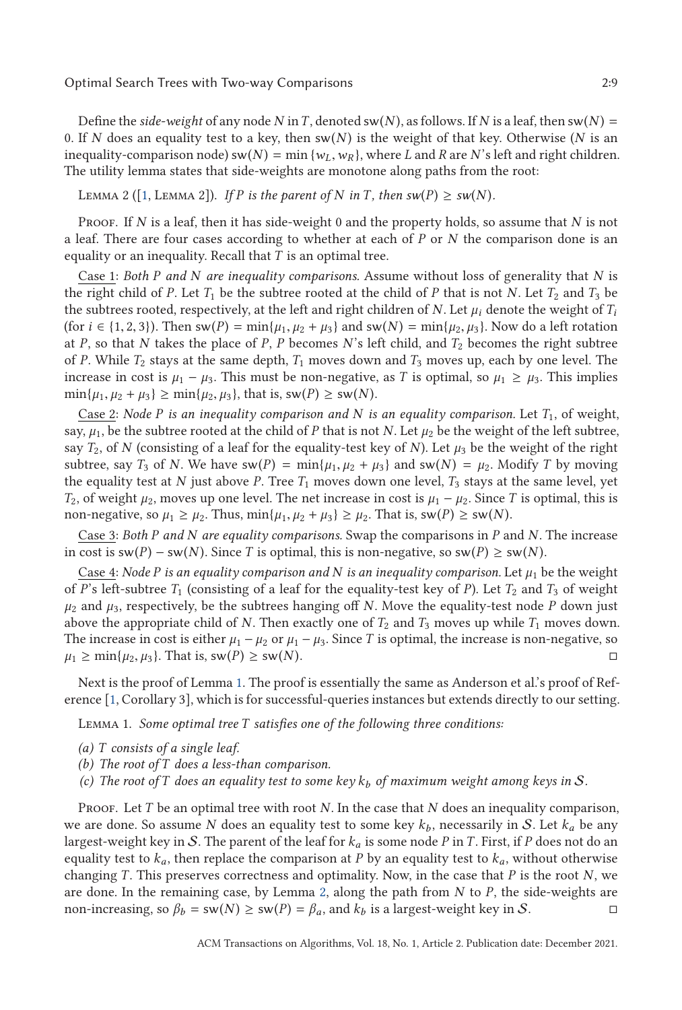<span id="page-8-0"></span>Define the *side-weight* of any node *N* in *T*, denoted sw(*N*), as follows. If *N* is a leaf, then sw(*N*) = 0. If *N* does an equality test to a key, then sw(*N*) is the weight of that key. Otherwise (*N* is an inequality-comparison node) sw( $N$ ) = min { $w_L$ ,  $w_R$ }, where *L* and *R* are *N*'s left and right children. The utility lemma states that side-weights are monotone along paths from the root:

# LEMMA 2 ([\[1,](#page-10-0) LEMMA 2]). *If P* is the parent of *N* in *T*, then  $sw(P) \ge sw(N)$ .

Proof. If *N* is a leaf, then it has side-weight 0 and the property holds, so assume that *N* is not a leaf. There are four cases according to whether at each of *P* or *N* the comparison done is an equality or an inequality. Recall that *T* is an optimal tree.

Case 1: *Both P and N are inequality comparisons.* Assume without loss of generality that *N* is the right child of *P*. Let  $T_1$  be the subtree rooted at the child of *P* that is not *N*. Let  $T_2$  and  $T_3$  be the subtrees rooted, respectively, at the left and right children of *N*. Let  $\mu_i$  denote the weight of  $T_i$ (for  $i \in \{1, 2, 3\}$ ). Then  $sw(P) = min\{\mu_1, \mu_2 + \mu_3\}$  and  $sw(N) = min\{\mu_2, \mu_3\}$ . Now do a left rotation at *P*, so that *N* takes the place of *P*, *P* becomes *N*'s left child, and *T*<sup>2</sup> becomes the right subtree of *P*. While *T*<sup>2</sup> stays at the same depth, *T*<sup>1</sup> moves down and *T*<sup>3</sup> moves up, each by one level. The increase in cost is  $\mu_1 - \mu_3$ . This must be non-negative, as *T* is optimal, so  $\mu_1 \ge \mu_3$ . This implies  $\min\{\mu_1, \mu_2 + \mu_3\} \geq \min\{\mu_2, \mu_3\}$ , that is,  $sw(P) \geq sw(N)$ .

Case 2: *Node P is an inequality comparison and N is an equality comparison.* Let *T*1, of weight, say,  $\mu_1$ , be the subtree rooted at the child of *P* that is not *N*. Let  $\mu_2$  be the weight of the left subtree, say  $T_2$ , of *N* (consisting of a leaf for the equality-test key of *N*). Let  $\mu_3$  be the weight of the right subtree, say  $T_3$  of *N*. We have  $sw(P) = min{\{\mu_1, \mu_2 + \mu_3\}}$  and  $sw(N) = \mu_2$ . Modify *T* by moving the equality test at *N* just above *P*. Tree  $T_1$  moves down one level,  $T_3$  stays at the same level, yet *T*<sub>2</sub>, of weight  $\mu_2$ , moves up one level. The net increase in cost is  $\mu_1 - \mu_2$ . Since *T* is optimal, this is non-negative, so  $\mu_1 \geq \mu_2$ . Thus,  $\min{\{\mu_1, \mu_2 + \mu_3\}} \geq \mu_2$ . That is,  $\text{sw}(P) \geq \text{sw}(N)$ .

Case 3: *Both P and N are equality comparisons.* Swap the comparisons in *P* and *N*. The increase in cost is sw(*P*) − sw(*N*). Since *T* is optimal, this is non-negative, so sw(*P*) ≥ sw(*N*).

Case 4: *Node P* is an equality comparison and N is an inequality comparison. Let  $\mu_1$  be the weight of *P*'s left-subtree  $T_1$  (consisting of a leaf for the equality-test key of *P*). Let  $T_2$  and  $T_3$  of weight  $\mu_2$  and  $\mu_3$ , respectively, be the subtrees hanging off *N*. Move the equality-test node *P* down just above the appropriate child of *N*. Then exactly one of  $T_2$  and  $T_3$  moves up while  $T_1$  moves down. The increase in cost is either  $\mu_1 - \mu_2$  or  $\mu_1 - \mu_3$ . Since *T* is optimal, the increase is non-negative, so  $\mu_1 \ge \min\{\mu_2, \mu_3\}$ . That is, sw(P)  $\ge$  sw(N).  $\Box$ 

Next is the proof of Lemma [1.](#page-6-0) The proof is essentially the same as Anderson et al.'s proof of Reference [\[1,](#page-10-0) Corollary 3], which is for successful-queries instances but extends directly to our setting.

Lemma 1. *Some optimal tree T satisfies one of the following three conditions:*

- *(a) T consists of a single leaf.*
- *(b) The root of T does a less-than comparison.*
- *(c) The root of T does an equality test to some key k<sup>b</sup> of maximum weight among keys in* S*.*

Proof. Let *T* be an optimal tree with root *N*. In the case that *N* does an inequality comparison, we are done. So assume *N* does an equality test to some key  $k_b$ , necessarily in S. Let  $k_a$  be any largest-weight key in S. The parent of the leaf for *k<sup>a</sup>* is some node *P* in *T* . First, if *P* does not do an equality test to  $k_a$ , then replace the comparison at *P* by an equality test to  $k_a$ , without otherwise changing *T* . This preserves correctness and optimality. Now, in the case that *P* is the root *N*, we are done. In the remaining case, by Lemma 2, along the path from *N* to *P*, the side-weights are non-increasing, so  $\beta_b = sw(N) \ge sw(P) = \beta_a$ , and  $k_b$  is a largest-weight key in S.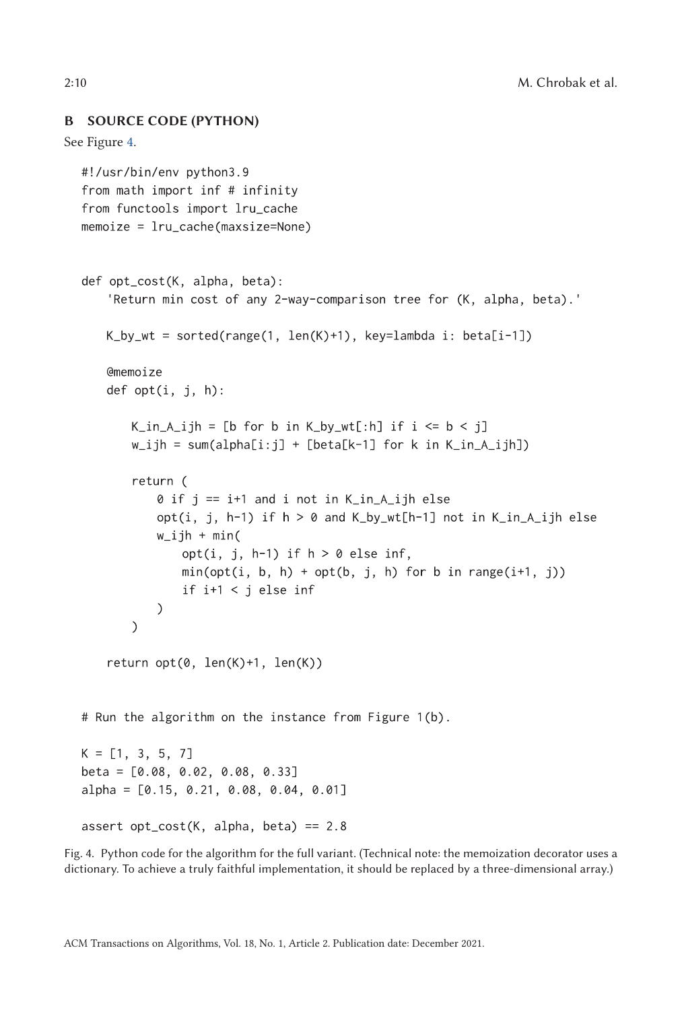```
B SOURCE CODE (PYTHON)
See Figure 4.
  #!/usr/bin/env python3.9
  from math import inf # infinity
  from functools import lru_cache
  memoize = Iru\_cache(maxsize=None)def opt_cost(K, alpha, beta):
      'Return min cost of any 2-way-comparison tree for (K, alpha, beta).'
      K_by_wt = sorted(range(1, len(K)+1), key=lambda i: beta[i-1])@memoize
      def opt(i, j, h):
          K_in_A_ijh = [b for b in K_by_wt[:h] if i \le b \le j]
          w_i ijh = sum(alpha[i:j] + [beta[k-1] for k in K_in_A_ijh])
          return (
             \theta if j == i+1 and i not in K_in_A_ijh else
             opt(i, j, h-1) if h > 0 and K_by_wt[h-1] not in K_bn_A ijh else
             w_iijh + min(
                 opt(i, j, h-1) if h > 0 else inf,
                 min(opt(i, b, h) + opt(b, j, h) for b in range(i+1, j))
                 if i+1 < j else inf
             \mathcal{L}\mathcal{E}return opt(0, len(K)+1, len(K))
  # Run the algorithm on the instance from Figure 1(b).
  K = [1, 3, 5, 7]beta = [0.08, 0.02, 0.08, 0.33]alpha = [0.15, 0.21, 0.08, 0.04, 0.01]assert opt\_cost(K, alpha, beta) == 2.8
```
Fig. 4. Python code for the algorithm for the full variant. (Technical note: the memoization decorator uses a dictionary. To achieve a truly faithful implementation, it should be replaced by a three-dimensional array.)